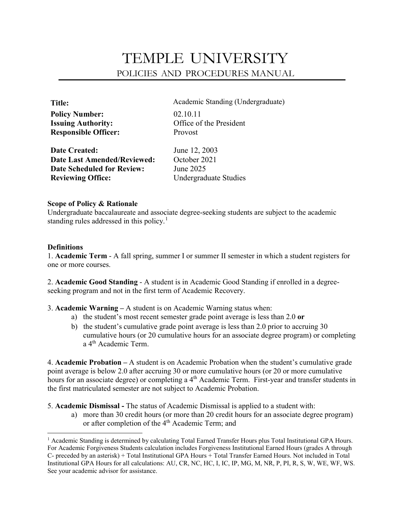# TEMPLE UNIVERSITY POLICIES AND PROCEDURES MANUAL

| Title:                      |  |
|-----------------------------|--|
| <b>Policy Number:</b>       |  |
| <b>Issuing Authority:</b>   |  |
| <b>Responsible Officer:</b> |  |

Academic Standing (Undergraduate) **Policy Number:** 02.10.11 **Iffice of the President** Provost

**Date Created: Date Last Amended/Reviewed:** October 2021 **Date Scheduled for Review:** June 2025 **Reviewing Office:** Undergraduate Studies

June 12, 2003

## **Scope of Policy & Rationale**

Undergraduate baccalaureate and associate degree-seeking students are subject to the academic standing rules addressed in this policy.<sup>[1](#page-0-0)</sup>

## **Definitions**

 $\overline{\phantom{a}}$ 

1. **Academic Term** - A fall spring, summer I or summer II semester in which a student registers for one or more courses.

2. **Academic Good Standing** - A student is in Academic Good Standing if enrolled in a degreeseeking program and not in the first term of Academic Recovery.

- 3. **Academic Warning –** A student is on Academic Warning status when:
	- a) the student's most recent semester grade point average is less than 2.0 **or**
	- b)the student's cumulative grade point average is less than 2.0 prior to accruing 30 cumulative hours (or 20 cumulative hours for an associate degree program) or completing a 4th Academic Term.

4. **Academic Probation –** A student is on Academic Probation when the student's cumulative grade point average is below 2.0 after accruing 30 or more cumulative hours (or 20 or more cumulative hours for an associate degree) or completing a 4<sup>th</sup> Academic Term. First-year and transfer students in the first matriculated semester are not subject to Academic Probation.

- 5. **Academic Dismissal -** The status of Academic Dismissal is applied to a student with:
	- a) more than 30 credit hours (or more than 20 credit hours for an associate degree program) or after completion of the 4<sup>th</sup> Academic Term; and

<span id="page-0-0"></span><sup>1</sup> Academic Standing is determined by calculating Total Earned Transfer Hours plus Total Institutional GPA Hours. For Academic Forgiveness Students calculation includes Forgiveness Institutional Earned Hours (grades A through C- preceded by an asterisk) + Total Institutional GPA Hours + Total Transfer Earned Hours. Not included in Total Institutional GPA Hours for all calculations: AU, CR, NC, HC, I, IC, IP, MG, M, NR, P, PI, R, S, W, WE, WF, WS. See your academic advisor for assistance.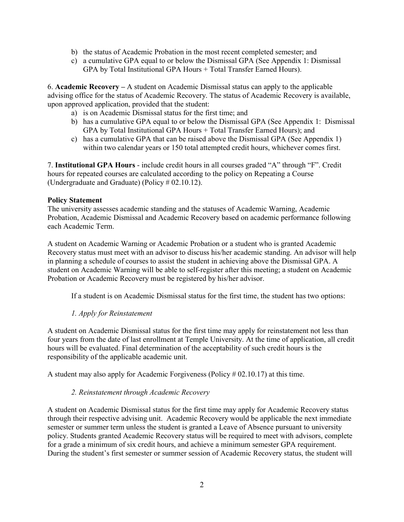- b) the status of Academic Probation in the most recent completed semester; and
- c) a cumulative GPA equal to or below the Dismissal GPA (See Appendix 1: Dismissal GPA by Total Institutional GPA Hours + Total Transfer Earned Hours).

6. **Academic Recovery –** A student on Academic Dismissal status can apply to the applicable advising office for the status of Academic Recovery. The status of Academic Recovery is available, upon approved application, provided that the student:

- a) is on Academic Dismissal status for the first time; and
- b) has a cumulative GPA equal to or below the Dismissal GPA (See Appendix 1: Dismissal GPA by Total Institutional GPA Hours + Total Transfer Earned Hours); and
- c) has a cumulative GPA that can be raised above the Dismissal GPA (See Appendix 1) within two calendar years or 150 total attempted credit hours, whichever comes first.

7. **Institutional GPA Hours** - include credit hours in all courses graded "A" through "F". Credit hours for repeated courses are calculated according to the policy on Repeating a Course (Undergraduate and Graduate) (Policy # 02.10.12).

## **Policy Statement**

The university assesses academic standing and the statuses of Academic Warning, Academic Probation, Academic Dismissal and Academic Recovery based on academic performance following each Academic Term.

A student on Academic Warning or Academic Probation or a student who is granted Academic Recovery status must meet with an advisor to discuss his/her academic standing. An advisor will help in planning a schedule of courses to assist the student in achieving above the Dismissal GPA. A student on Academic Warning will be able to self-register after this meeting; a student on Academic Probation or Academic Recovery must be registered by his/her advisor.

If a student is on Academic Dismissal status for the first time, the student has two options:

# *1. Apply for Reinstatement*

A student on Academic Dismissal status for the first time may apply for reinstatement not less than four years from the date of last enrollment at Temple University. At the time of application, all credit hours will be evaluated. Final determination of the acceptability of such credit hours is the responsibility of the applicable academic unit.

A student may also apply for Academic Forgiveness (Policy # 02.10.17) at this time.

#### *2. Reinstatement through Academic Recovery*

A student on Academic Dismissal status for the first time may apply for Academic Recovery status through their respective advising unit. Academic Recovery would be applicable the next immediate semester or summer term unless the student is granted a Leave of Absence pursuant to university policy. Students granted Academic Recovery status will be required to meet with advisors, complete for a grade a minimum of six credit hours, and achieve a minimum semester GPA requirement. During the student's first semester or summer session of Academic Recovery status, the student will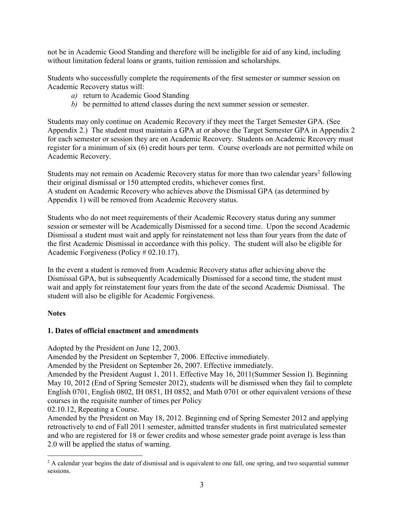not be in Academic Good Standing and therefore will be ineligible for aid of any kind, including without limitation federal loans or grants, tuition remission and scholarships.

Students who successfully complete the requirements of the first semester or summer session on Academic Recovery status will:

- *a)* return to Academic Good Standing
- *b)* be permitted to attend classes during the next summer session or semester.

Students may only continue on Academic Recovery if they meet the Target Semester GPA. (See Appendix 2.) The student must maintain a GPA at or above the Target Semester GPA in Appendix 2 for each semester or session they are on Academic Recovery. Students on Academic Recovery must register for a minimum of six (6) credit hours per term. Course overloads are not permitted while on Academic Recovery.

Students may not remain on Academic Recovery status for more than two calendar years<sup>[2](#page-2-0)</sup> following their original dismissal or 150 attempted credits, whichever comes first. A student on Academic Recovery who achieves above the Dismissal GPA (as determined by Appendix 1) will be removed from Academic Recovery status.

Students who do not meet requirements of their Academic Recovery status during any summer session or semester will be Academically Dismissed for a second time. Upon the second Academic Dismissal a student must wait and apply for reinstatement not less than four years from the date of the first Academic Dismissal in accordance with this policy. The student will also be eligible for Academic Forgiveness (Policy # 02.10.17).

In the event a student is removed from Academic Recovery status after achieving above the Dismissal GPA, but is subsequently Academically Dismissed for a second time, the student must wait and apply for reinstatement four years from the date of the second Academic Dismissal. The student will also be eligible for Academic Forgiveness.

#### **Notes**

l

#### **1. Dates of official enactment and amendments**

Adopted by the President on June 12, 2003.

Amended by the President on September 7, 2006. Effective immediately.

Amended by the President on September 26, 2007. Effective immediately.

Amended by the President August 1, 2011. Effective May 16, 2011(Summer Session I). Beginning May 10, 2012 (End of Spring Semester 2012), students will be dismissed when they fail to complete English 0701, English 0802, IH 0851, IH 0852, and Math 0701 or other equivalent versions of these courses in the requisite number of times per Policy

02.10.12, Repeating a Course.

Amended by the President on May 18, 2012. Beginning end of Spring Semester 2012 and applying retroactively to end of Fall 2011 semester, admitted transfer students in first matriculated semester and who are registered for 18 or fewer credits and whose semester grade point average is less than 2.0 will be applied the status of warning.

<span id="page-2-0"></span> $<sup>2</sup>$  A calendar year begins the date of dismissal and is equivalent to one fall, one spring, and two sequential summer</sup> sessions.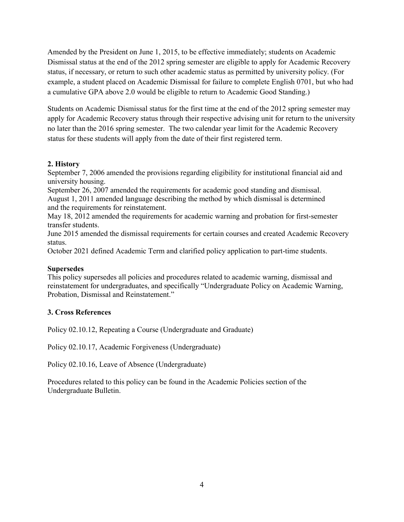Amended by the President on June 1, 2015, to be effective immediately; students on Academic Dismissal status at the end of the 2012 spring semester are eligible to apply for Academic Recovery status, if necessary, or return to such other academic status as permitted by university policy. (For example, a student placed on Academic Dismissal for failure to complete English 0701, but who had a cumulative GPA above 2.0 would be eligible to return to Academic Good Standing.)

Students on Academic Dismissal status for the first time at the end of the 2012 spring semester may apply for Academic Recovery status through their respective advising unit for return to the university no later than the 2016 spring semester. The two calendar year limit for the Academic Recovery status for these students will apply from the date of their first registered term.

#### **2. History**

September 7, 2006 amended the provisions regarding eligibility for institutional financial aid and university housing.

September 26, 2007 amended the requirements for academic good standing and dismissal. August 1, 2011 amended language describing the method by which dismissal is determined and the requirements for reinstatement.

May 18, 2012 amended the requirements for academic warning and probation for first-semester transfer students.

June 2015 amended the dismissal requirements for certain courses and created Academic Recovery status.

October 2021 defined Academic Term and clarified policy application to part-time students.

#### **Supersedes**

This policy supersedes all policies and procedures related to academic warning, dismissal and reinstatement for undergraduates, and specifically "Undergraduate Policy on Academic Warning, Probation, Dismissal and Reinstatement."

#### **3. Cross References**

Policy 02.10.12, Repeating a Course (Undergraduate and Graduate)

Policy 02.10.17, Academic Forgiveness (Undergraduate)

Policy 02.10.16, Leave of Absence (Undergraduate)

Procedures related to this policy can be found in the Academic Policies section of the Undergraduate Bulletin.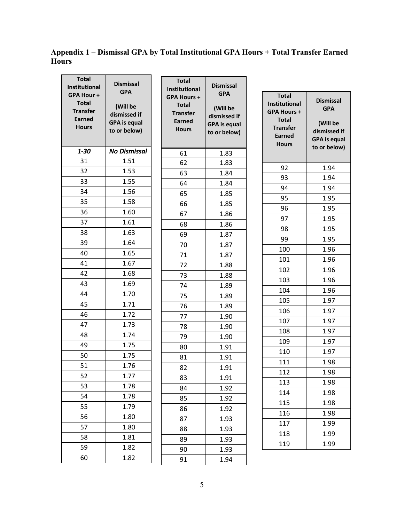**Appendix 1 – Dismissal GPA by Total Institutional GPA Hours + Total Transfer Earned Hours**

 $\blacksquare$ 

| <b>Total</b><br>Institutional                                                 | <b>Dismissal</b>                                                              | <b>Total</b><br>Institutional                                                          | <b>Dismissal</b>                                                              |                                                                                                                         |                                                                                                   |
|-------------------------------------------------------------------------------|-------------------------------------------------------------------------------|----------------------------------------------------------------------------------------|-------------------------------------------------------------------------------|-------------------------------------------------------------------------------------------------------------------------|---------------------------------------------------------------------------------------------------|
| GPA Hour+<br><b>Total</b><br><b>Transfer</b><br><b>Earned</b><br><b>Hours</b> | <b>GPA</b><br>(Will be<br>dismissed if<br><b>GPA</b> is equal<br>to or below) | <b>GPA Hours +</b><br><b>Total</b><br><b>Transfer</b><br><b>Earned</b><br><b>Hours</b> | <b>GPA</b><br>(Will be<br>dismissed if<br><b>GPA</b> is equal<br>to or below) | <b>Total</b><br>Institutional<br><b>GPA Hours +</b><br><b>Total</b><br><b>Transfer</b><br><b>Earned</b><br><b>Hours</b> | <b>Dismissal</b><br><b>GPA</b><br>(Will be<br>dismissed if<br><b>GPA</b> is equal<br>to or below) |
| $1 - 30$                                                                      | <b>No Dismissal</b>                                                           | 61                                                                                     | 1.83                                                                          |                                                                                                                         |                                                                                                   |
| 31                                                                            | 1.51                                                                          | 62                                                                                     | 1.83                                                                          | 92                                                                                                                      | 1.94                                                                                              |
| 32                                                                            | 1.53                                                                          | 63                                                                                     | 1.84                                                                          | 93                                                                                                                      | 1.94                                                                                              |
| 33                                                                            | 1.55                                                                          | 64                                                                                     | 1.84                                                                          | 94                                                                                                                      | 1.94                                                                                              |
| 34                                                                            | 1.56                                                                          | 65                                                                                     | 1.85                                                                          | 95                                                                                                                      | 1.95                                                                                              |
| 35                                                                            | 1.58                                                                          | 66                                                                                     | 1.85                                                                          | 96                                                                                                                      | 1.95                                                                                              |
| 36                                                                            | 1.60                                                                          | 67                                                                                     | 1.86                                                                          | 97                                                                                                                      | 1.95                                                                                              |
| 37                                                                            | 1.61                                                                          | 68                                                                                     | 1.86                                                                          | 98                                                                                                                      | 1.95                                                                                              |
| 38                                                                            | 1.63                                                                          | 69                                                                                     | 1.87                                                                          | 99                                                                                                                      | 1.95                                                                                              |
| 39                                                                            | 1.64                                                                          | 70                                                                                     | 1.87                                                                          | 100                                                                                                                     | 1.96                                                                                              |
| 40                                                                            | 1.65                                                                          | 71                                                                                     | 1.87                                                                          | 101                                                                                                                     | 1.96                                                                                              |
| 41                                                                            | 1.67                                                                          | 72                                                                                     | 1.88                                                                          | 102                                                                                                                     | 1.96                                                                                              |
| 42                                                                            | 1.68                                                                          | 73                                                                                     | 1.88                                                                          | 103                                                                                                                     | 1.96                                                                                              |
| 43                                                                            | 1.69                                                                          | 74                                                                                     | 1.89                                                                          | 104                                                                                                                     | 1.96                                                                                              |
| 44                                                                            | 1.70                                                                          | 75                                                                                     | 1.89                                                                          | 105                                                                                                                     | 1.97                                                                                              |
| 45                                                                            | 1.71                                                                          | 76                                                                                     | 1.89                                                                          | 106                                                                                                                     | 1.97                                                                                              |
| 46                                                                            | 1.72                                                                          | 77                                                                                     | 1.90                                                                          | 107                                                                                                                     | 1.97                                                                                              |
| 47                                                                            | 1.73                                                                          | 78                                                                                     | 1.90                                                                          | 108                                                                                                                     | 1.97                                                                                              |
| 48                                                                            | 1.74                                                                          | 79                                                                                     | 1.90                                                                          | 109                                                                                                                     | 1.97                                                                                              |
| 49                                                                            | 1.75                                                                          | 80                                                                                     | 1.91                                                                          | 110                                                                                                                     | 1.97                                                                                              |
| 50                                                                            | 1.75                                                                          | 81                                                                                     | 1.91                                                                          | 111                                                                                                                     | 1.98                                                                                              |
| 51                                                                            | 1.76                                                                          | 82                                                                                     | 1.91                                                                          | 112                                                                                                                     | 1.98                                                                                              |
| 52                                                                            | 1.77                                                                          | 83                                                                                     | 1.91                                                                          | 113                                                                                                                     | 1.98                                                                                              |
| 53                                                                            | 1.78                                                                          | 84                                                                                     | 1.92                                                                          | 114                                                                                                                     | 1.98                                                                                              |
| 54                                                                            | 1.78                                                                          | 85                                                                                     | 1.92                                                                          | 115                                                                                                                     | 1.98                                                                                              |
| 55                                                                            | 1.79                                                                          | 86                                                                                     | 1.92                                                                          | 116                                                                                                                     | 1.98                                                                                              |
| 56                                                                            | 1.80                                                                          | 87                                                                                     | 1.93                                                                          | 117                                                                                                                     | 1.99                                                                                              |
| 57                                                                            | 1.80                                                                          | 88                                                                                     | 1.93                                                                          | 118                                                                                                                     | 1.99                                                                                              |
| 58                                                                            | 1.81                                                                          | 89                                                                                     | 1.93                                                                          | 119                                                                                                                     | 1.99                                                                                              |
| 59                                                                            | 1.82                                                                          | 90                                                                                     | 1.93                                                                          |                                                                                                                         |                                                                                                   |
| 60                                                                            | 1.82                                                                          | 91                                                                                     | 1.94                                                                          |                                                                                                                         |                                                                                                   |